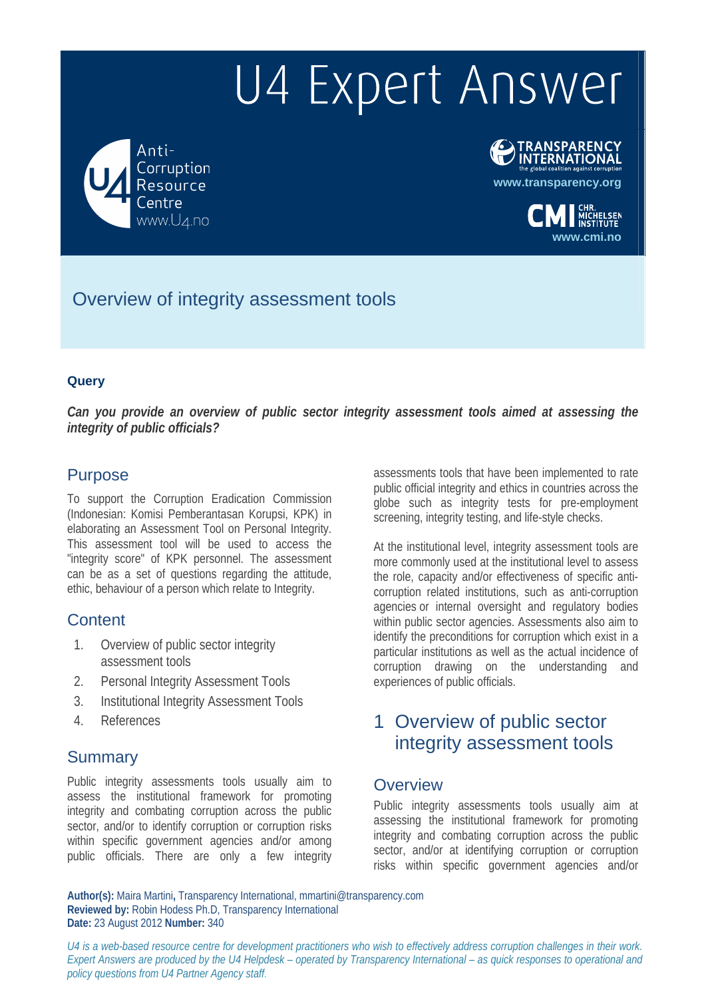Anti-Corruption Resource www.U4.no



**www.transparency.org**

**www.cmi.no**

Overview of integrity assessment tools

#### **Query**

*Can you provide an overview of public sector integrity assessment tools aimed at assessing the integrity of public officials?* 

#### Purpose

To support the Corruption Eradication Commission (Indonesian: Komisi Pemberantasan Korupsi, KPK) in elaborating an Assessment Tool on Personal Integrity. This assessment tool will be used to access the "integrity score" of KPK personnel. The assessment can be as a set of questions regarding the attitude, ethic, behaviour of a person which relate to Integrity.

## **Content**

- 1. Overview of public sector integrity assessment tools
- 2. Personal Integrity Assessment Tools
- 3. Institutional Integrity Assessment Tools
- 4. References

#### **Summary**

Public integrity assessments tools usually aim to assess the institutional framework for promoting integrity and combating corruption across the public sector, and/or to identify corruption or corruption risks within specific government agencies and/or among public officials. There are only a few integrity

assessments tools that have been implemented to rate public official integrity and ethics in countries across the globe such as integrity tests for pre-employment screening, integrity testing, and life-style checks.

At the institutional level, integrity assessment tools are more commonly used at the institutional level to assess the role, capacity and/or effectiveness of specific anticorruption related institutions, such as anti-corruption agencies or internal oversight and regulatory bodies within public sector agencies. Assessments also aim to identify the preconditions for corruption which exist in a particular institutions as well as the actual incidence of corruption drawing on the understanding and experiences of public officials.

# 1 Overview of public sector integrity assessment tools

#### **Overview**

Public integrity assessments tools usually aim at assessing the institutional framework for promoting integrity and combating corruption across the public sector, and/or at identifying corruption or corruption risks within specific government agencies and/or

**Author(s):** Maira Martini**,** Transparency International, mmartini@transparency.com **Reviewed by:** Robin Hodess Ph.D, Transparency International **Date:** 23 August 2012 **Number:** 340

*U4 is a web-based resource centre for development practitioners who wish to effectively address corruption challenges in their work. Expert Answers are produced by the U4 Helpdesk – operated by Transparency International – as quick responses to operational and policy questions from U4 Partner Agency staff.*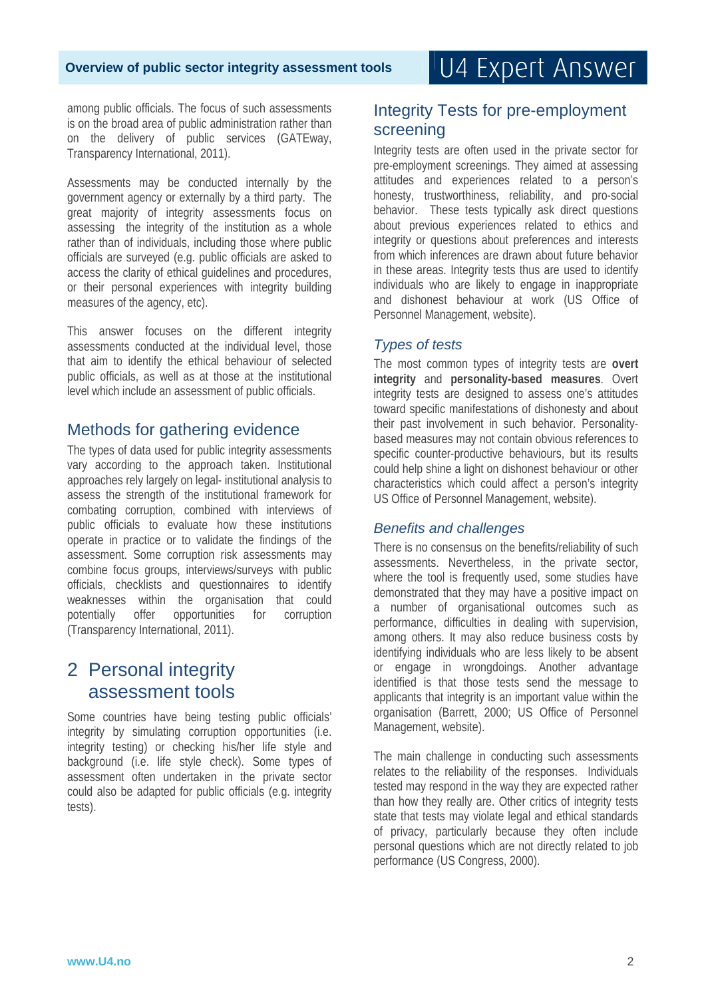among public officials. The focus of such assessments is on the broad area of public administration rather than on the delivery of public services (GATEway, Transparency International, 2011).

Assessments may be conducted internally by the government agency or externally by a third party. The great majority of integrity assessments focus on assessing the integrity of the institution as a whole rather than of individuals, including those where public officials are surveyed (e.g. public officials are asked to access the clarity of ethical guidelines and procedures, or their personal experiences with integrity building measures of the agency, etc).

This answer focuses on the different integrity assessments conducted at the individual level, those that aim to identify the ethical behaviour of selected public officials, as well as at those at the institutional level which include an assessment of public officials.

## Methods for gathering evidence

The types of data used for public integrity assessments vary according to the approach taken. Institutional approaches rely largely on legal- institutional analysis to assess the strength of the institutional framework for combating corruption, combined with interviews of public officials to evaluate how these institutions operate in practice or to validate the findings of the assessment. Some corruption risk assessments may combine focus groups, interviews/surveys with public officials, checklists and questionnaires to identify weaknesses within the organisation that could potentially offer opportunities for corruption (Transparency International, 2011).

# 2 Personal integrity assessment tools

Some countries have being testing public officials' integrity by simulating corruption opportunities (i.e. integrity testing) or checking his/her life style and background (i.e. life style check). Some types of assessment often undertaken in the private sector could also be adapted for public officials (e.g. integrity tests).

## Integrity Tests for pre-employment screening

Integrity tests are often used in the private sector for pre-employment screenings. They aimed at assessing attitudes and experiences related to a person's honesty, trustworthiness, reliability, and pro-social behavior. These tests typically ask direct questions about previous experiences related to ethics and integrity or questions about preferences and interests from which inferences are drawn about future behavior in these areas. Integrity tests thus are used to identify individuals who are likely to engage in inappropriate and dishonest behaviour at work (US Office of Personnel Management, website).

#### *Types of tests*

The most common types of integrity tests are **overt integrity** and **personality-based measures**. Overt integrity tests are designed to assess one's attitudes toward specific manifestations of dishonesty and about their past involvement in such behavior. Personalitybased measures may not contain obvious references to specific counter-productive behaviours, but its results could help shine a light on dishonest behaviour or other characteristics which could affect a person's integrity US Office of Personnel Management, website).

#### *Benefits and challenges*

There is no consensus on the benefits/reliability of such assessments. Nevertheless, in the private sector, where the tool is frequently used, some studies have demonstrated that they may have a positive impact on a number of organisational outcomes such as performance, difficulties in dealing with supervision, among others. It may also reduce business costs by identifying individuals who are less likely to be absent or engage in wrongdoings. Another advantage identified is that those tests send the message to applicants that integrity is an important value within the organisation (Barrett, 2000; US Office of Personnel Management, website).

The main challenge in conducting such assessments relates to the reliability of the responses. Individuals tested may respond in the way they are expected rather than how they really are. Other critics of integrity tests state that tests may violate legal and ethical standards of privacy, particularly because they often include personal questions which are not directly related to job performance (US Congress, 2000).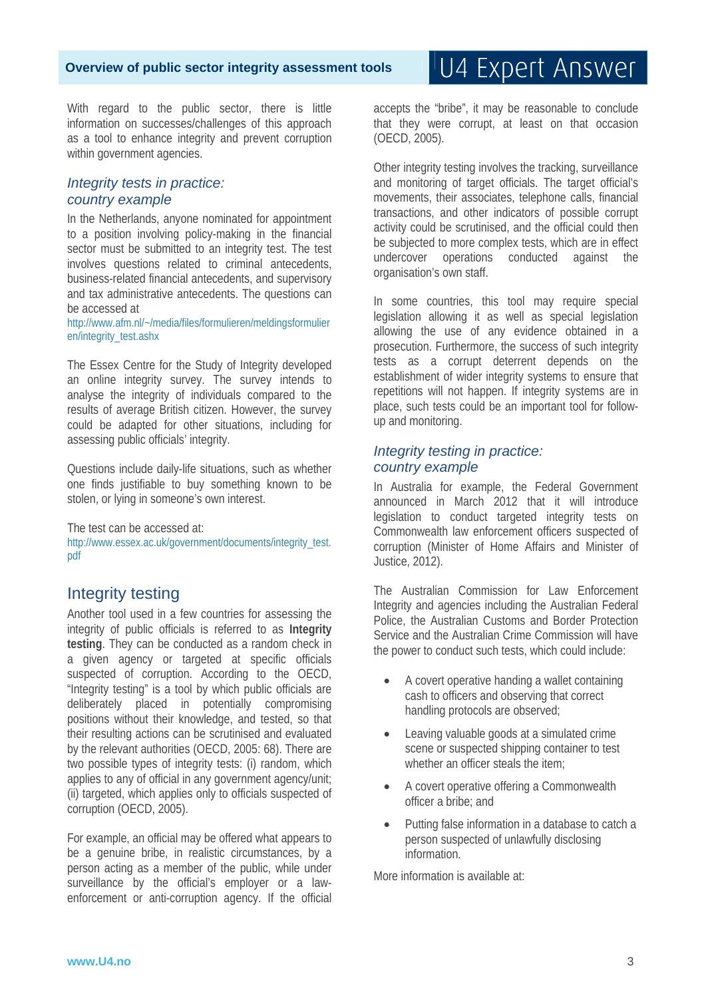With regard to the public sector, there is little information on successes/challenges of this approach as a tool to enhance integrity and prevent corruption within government agencies.

#### *Integrity tests in practice: country example*

In the Netherlands, anyone nominated for appointment to a position involving policy-making in the financial sector must be submitted to an integrity test. The test involves questions related to criminal antecedents, business-related financial antecedents, and supervisory and tax administrative antecedents. The questions can be accessed at

http://www.afm.nl/~/media/files/formulieren/meldingsformulier en/integrity\_test.ashx

The Essex Centre for the Study of Integrity developed an online integrity survey. The survey intends to analyse the integrity of individuals compared to the results of average British citizen. However, the survey could be adapted for other situations, including for assessing public officials' integrity.

Questions include daily-life situations, such as whether one finds justifiable to buy something known to be stolen, or lying in someone's own interest.

The test can be accessed at: http://www.essex.ac.uk/government/documents/integrity\_test. pdf

## Integrity testing

Another tool used in a few countries for assessing the integrity of public officials is referred to as **Integrity testing**. They can be conducted as a random check in a given agency or targeted at specific officials suspected of corruption. According to the OECD, "Integrity testing" is a tool by which public officials are deliberately placed in potentially compromising positions without their knowledge, and tested, so that their resulting actions can be scrutinised and evaluated by the relevant authorities (OECD, 2005: 68). There are two possible types of integrity tests: (i) random, which applies to any of official in any government agency/unit; (ii) targeted, which applies only to officials suspected of corruption (OECD, 2005).

For example, an official may be offered what appears to be a genuine bribe, in realistic circumstances, by a person acting as a member of the public, while under surveillance by the official's employer or a lawenforcement or anti-corruption agency. If the official

accepts the "bribe", it may be reasonable to conclude that they were corrupt, at least on that occasion (OECD, 2005).

Other integrity testing involves the tracking, surveillance and monitoring of target officials. The target official's movements, their associates, telephone calls, financial transactions, and other indicators of possible corrupt activity could be scrutinised, and the official could then be subjected to more complex tests, which are in effect undercover operations conducted against the organisation's own staff.

In some countries, this tool may require special legislation allowing it as well as special legislation allowing the use of any evidence obtained in a prosecution. Furthermore, the success of such integrity tests as a corrupt deterrent depends on the establishment of wider integrity systems to ensure that repetitions will not happen. If integrity systems are in place, such tests could be an important tool for followup and monitoring.

#### *Integrity testing in practice: country example*

In Australia for example, the Federal Government announced in March 2012 that it will introduce legislation to conduct targeted integrity tests on Commonwealth law enforcement officers suspected of corruption (Minister of Home Affairs and Minister of Justice, 2012).

The Australian Commission for Law Enforcement Integrity and agencies including the Australian Federal Police, the Australian Customs and Border Protection Service and the Australian Crime Commission will have the power to conduct such tests, which could include:

- A covert operative handing a wallet containing cash to officers and observing that correct handling protocols are observed;
- Leaving valuable goods at a simulated crime scene or suspected shipping container to test whether an officer steals the item;
- A covert operative offering a Commonwealth officer a bribe; and
- Putting false information in a database to catch a person suspected of unlawfully disclosing information.

More information is available at: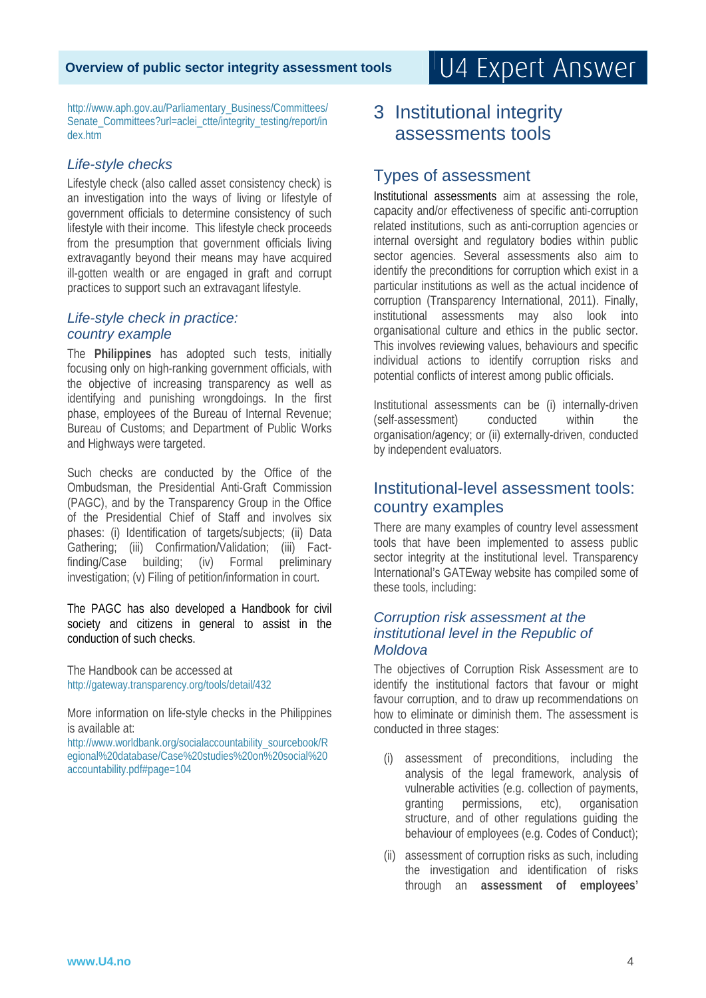#### **Overview of public sector integrity assessment tools**

# U4 Expert Answer

http://www.aph.gov.au/Parliamentary\_Business/Committees/ Senate\_Committees?url=aclei\_ctte/integrity\_testing/report/in dex.htm

#### *Life-style checks*

Lifestyle check (also called asset consistency check) is an investigation into the ways of living or lifestyle of government officials to determine consistency of such lifestyle with their income. This lifestyle check proceeds from the presumption that government officials living extravagantly beyond their means may have acquired ill-gotten wealth or are engaged in graft and corrupt practices to support such an extravagant lifestyle.

#### *Life-style check in practice: country example*

The **Philippines** has adopted such tests, initially focusing only on high-ranking government officials, with the objective of increasing transparency as well as identifying and punishing wrongdoings. In the first phase, employees of the Bureau of Internal Revenue; Bureau of Customs; and Department of Public Works and Highways were targeted.

Such checks are conducted by the Office of the Ombudsman, the Presidential Anti-Graft Commission (PAGC), and by the Transparency Group in the Office of the Presidential Chief of Staff and involves six phases: (i) Identification of targets/subjects; (ii) Data Gathering; (iii) Confirmation/Validation; (iii) Factfinding/Case building; (iv) Formal preliminary investigation; (v) Filing of petition/information in court.

The PAGC has also developed a Handbook for civil society and citizens in general to assist in the conduction of such checks.

The Handbook can be accessed at http://gateway.transparency.org/tools/detail/432

More information on life-style checks in the Philippines is available at:

http://www.worldbank.org/socialaccountability\_sourcebook/R egional%20database/Case%20studies%20on%20social%20 accountability.pdf#page=104

# 3 Institutional integrity assessments tools

#### Types of assessment

Institutional assessments aim at assessing the role, capacity and/or effectiveness of specific anti-corruption related institutions, such as anti-corruption agencies or internal oversight and regulatory bodies within public sector agencies. Several assessments also aim to identify the preconditions for corruption which exist in a particular institutions as well as the actual incidence of corruption (Transparency International, 2011). Finally, institutional assessments may also look into organisational culture and ethics in the public sector. This involves reviewing values, behaviours and specific individual actions to identify corruption risks and potential conflicts of interest among public officials.

Institutional assessments can be (i) internally-driven (self-assessment) conducted within the organisation/agency; or (ii) externally-driven, conducted by independent evaluators.

### Institutional-level assessment tools: country examples

There are many examples of country level assessment tools that have been implemented to assess public sector integrity at the institutional level. Transparency International's GATEway website has compiled some of these tools, including:

#### *Corruption risk assessment at the institutional level in the Republic of Moldova*

The objectives of Corruption Risk Assessment are to identify the institutional factors that favour or might favour corruption, and to draw up recommendations on how to eliminate or diminish them. The assessment is conducted in three stages:

- assessment of preconditions, including the analysis of the legal framework, analysis of vulnerable activities (e.g. collection of payments, granting permissions, etc), organisation structure, and of other regulations guiding the behaviour of employees (e.g. Codes of Conduct);
- (ii) assessment of corruption risks as such, including the investigation and identification of risks through an **assessment of employees'**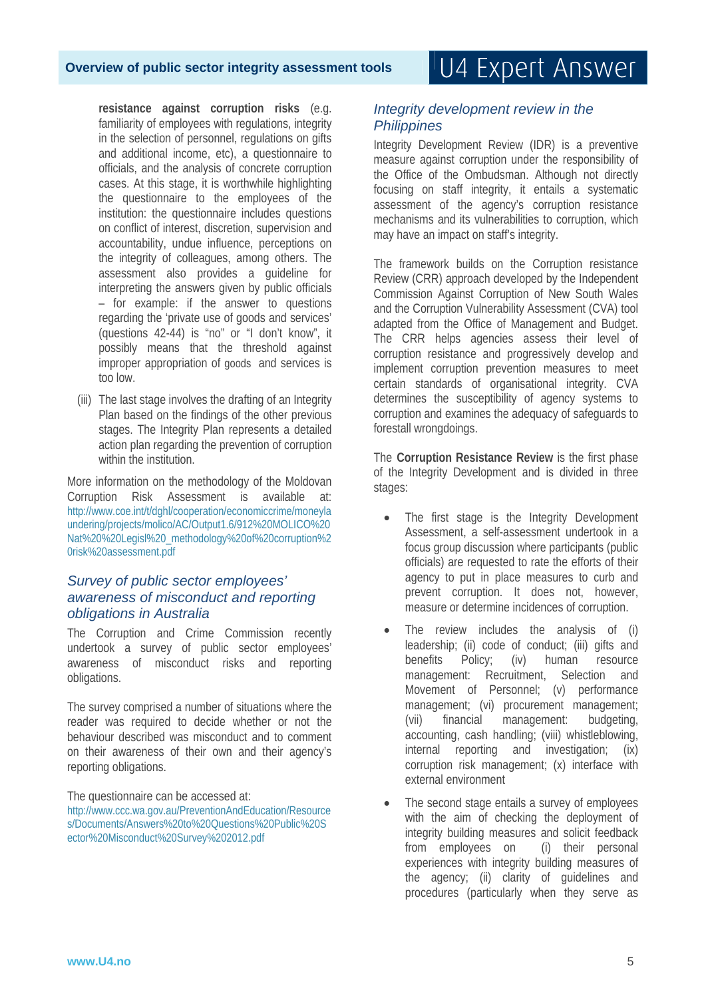**resistance against corruption risks** (e.g. familiarity of employees with regulations, integrity in the selection of personnel, regulations on gifts and additional income, etc), a questionnaire to officials, and the analysis of concrete corruption cases. At this stage, it is worthwhile highlighting the questionnaire to the employees of the institution: the questionnaire includes questions on conflict of interest, discretion, supervision and accountability, undue influence, perceptions on the integrity of colleagues, among others. The assessment also provides a guideline for interpreting the answers given by public officials – for example: if the answer to questions regarding the 'private use of goods and services' (questions 42-44) is "no" or "I don't know", it possibly means that the threshold against improper appropriation of goods and services is too low.

(iii) The last stage involves the drafting of an Integrity Plan based on the findings of the other previous stages. The Integrity Plan represents a detailed action plan regarding the prevention of corruption within the institution.

More information on the methodology of the Moldovan Corruption Risk Assessment is available at: http://www.coe.int/t/dghl/cooperation/economiccrime/moneyla undering/projects/molico/AC/Output1.6/912%20MOLICO%20 Nat%20%20Legisl%20\_methodology%20of%20corruption%2 0risk%20assessment.pdf

#### *Survey of public sector employees' awareness of misconduct and reporting obligations in Australia*

The Corruption and Crime Commission recently undertook a survey of public sector employees' awareness of misconduct risks and reporting obligations.

The survey comprised a number of situations where the reader was required to decide whether or not the behaviour described was misconduct and to comment on their awareness of their own and their agency's reporting obligations.

The questionnaire can be accessed at:

http://www.ccc.wa.gov.au/PreventionAndEducation/Resource s/Documents/Answers%20to%20Questions%20Public%20S ector%20Misconduct%20Survey%202012.pdf

#### *Integrity development review in the Philippines*

Integrity Development Review (IDR) is a preventive measure against corruption under the responsibility of the Office of the Ombudsman. Although not directly focusing on staff integrity, it entails a systematic assessment of the agency's corruption resistance mechanisms and its vulnerabilities to corruption, which may have an impact on staff's integrity.

The framework builds on the Corruption resistance Review (CRR) approach developed by the Independent Commission Against Corruption of New South Wales and the Corruption Vulnerability Assessment (CVA) tool adapted from the Office of Management and Budget. The CRR helps agencies assess their level of corruption resistance and progressively develop and implement corruption prevention measures to meet certain standards of organisational integrity. CVA determines the susceptibility of agency systems to corruption and examines the adequacy of safeguards to forestall wrongdoings.

The **Corruption Resistance Review** is the first phase of the Integrity Development and is divided in three stages:

- The first stage is the Integrity Development Assessment, a self-assessment undertook in a focus group discussion where participants (public officials) are requested to rate the efforts of their agency to put in place measures to curb and prevent corruption. It does not, however, measure or determine incidences of corruption.
- The review includes the analysis of (i) leadership; (ii) code of conduct; (iii) gifts and benefits Policy; (iv) human resource management: Recruitment, Selection and Movement of Personnel; (v) performance management; (vi) procurement management; (vii) financial management: budgeting, accounting, cash handling; (viii) whistleblowing, internal reporting and investigation; (ix) corruption risk management; (x) interface with external environment
- The second stage entails a survey of employees with the aim of checking the deployment of integrity building measures and solicit feedback from employees on (i) their personal experiences with integrity building measures of the agency; (ii) clarity of guidelines and procedures (particularly when they serve as